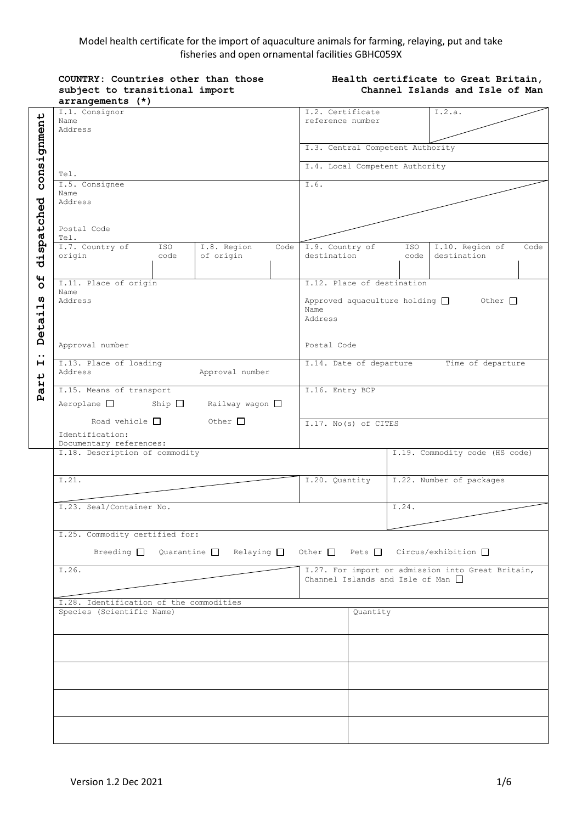# Model health certificate for the import of aquaculture animals for farming, relaying, put and take fisheries and open ornamental facilities GBHC059X

**Health certificate to Great Britain,** 

**COUNTRY: Countries other than those** 

|                         | subject to transitional import                                                                      | Channel Islands and Isle of Man                                                             |  |  |
|-------------------------|-----------------------------------------------------------------------------------------------------|---------------------------------------------------------------------------------------------|--|--|
|                         | arrangements (*)                                                                                    |                                                                                             |  |  |
|                         | I.1. Consignor                                                                                      | I.2. Certificate<br>I.2.a.                                                                  |  |  |
|                         | Name<br>Address                                                                                     | reference number                                                                            |  |  |
|                         |                                                                                                     |                                                                                             |  |  |
|                         |                                                                                                     | I.3. Central Competent Authority                                                            |  |  |
|                         |                                                                                                     |                                                                                             |  |  |
| consignment             | Tel.                                                                                                | I.4. Local Competent Authority                                                              |  |  |
|                         | I.5. Consignee                                                                                      | I.6.                                                                                        |  |  |
|                         | Name                                                                                                |                                                                                             |  |  |
|                         | Address                                                                                             |                                                                                             |  |  |
|                         |                                                                                                     |                                                                                             |  |  |
|                         | Postal Code                                                                                         |                                                                                             |  |  |
| dispatched              | Tel.                                                                                                |                                                                                             |  |  |
|                         | I.7. Country of<br>ISO<br>I.8. Region<br>Code                                                       | I.9. Country of<br>I.10. Region of<br>ISO<br>Code                                           |  |  |
|                         | origin<br>of origin<br>code                                                                         | destination<br>destination<br>code                                                          |  |  |
|                         |                                                                                                     |                                                                                             |  |  |
| $\mathbf{H}$<br>$\circ$ | I.11. Place of origin                                                                               | I.12. Place of destination                                                                  |  |  |
|                         | Name                                                                                                |                                                                                             |  |  |
| ທ                       | Address                                                                                             | Approved aquaculture holding $\Box$ Other $\Box$<br>Name                                    |  |  |
|                         |                                                                                                     | Address                                                                                     |  |  |
| Detail                  |                                                                                                     |                                                                                             |  |  |
|                         | Approval number                                                                                     |                                                                                             |  |  |
| $\cdot \cdot$           |                                                                                                     | Postal Code                                                                                 |  |  |
| н                       | I.13. Place of loading                                                                              | I.14. Date of departure<br>Time of departure                                                |  |  |
|                         | Address<br>Approval number                                                                          |                                                                                             |  |  |
| art                     | I.15. Means of transport                                                                            | I.16. Entry BCP                                                                             |  |  |
| $\mathbf{p}$            |                                                                                                     |                                                                                             |  |  |
|                         | Railway wagon $\square$<br>$Aeroplane$ $\Box$<br>$\mathop{\mathrm{Ship}}\nolimits$                  |                                                                                             |  |  |
|                         | Road vehicle $\Box$<br>Other $\Box$                                                                 | I.17. No(s) of CITES                                                                        |  |  |
|                         | Identification:                                                                                     |                                                                                             |  |  |
|                         | Documentary references:                                                                             |                                                                                             |  |  |
|                         | I.18. Description of commodity                                                                      | I.19. Commodity code (HS code)                                                              |  |  |
|                         |                                                                                                     |                                                                                             |  |  |
|                         | I.21.                                                                                               | I.22. Number of packages<br>I.20. Quantity                                                  |  |  |
|                         |                                                                                                     |                                                                                             |  |  |
|                         | I.23. Seal/Container No.                                                                            | I.24.                                                                                       |  |  |
|                         |                                                                                                     |                                                                                             |  |  |
|                         |                                                                                                     |                                                                                             |  |  |
|                         | I.25. Commodity certified for:                                                                      |                                                                                             |  |  |
|                         | Breeding $\Box$ Quarantine $\Box$ Relaying $\Box$ Other $\Box$ Pets $\Box$ Circus/exhibition $\Box$ |                                                                                             |  |  |
|                         |                                                                                                     |                                                                                             |  |  |
|                         | I.26.                                                                                               | I.27. For import or admission into Great Britain,<br>Channel Islands and Isle of Man $\Box$ |  |  |
|                         |                                                                                                     |                                                                                             |  |  |
|                         | I.28. Identification of the commodities                                                             |                                                                                             |  |  |
|                         | Species (Scientific Name)                                                                           | Ouantity                                                                                    |  |  |
|                         |                                                                                                     |                                                                                             |  |  |
|                         |                                                                                                     |                                                                                             |  |  |
|                         |                                                                                                     |                                                                                             |  |  |
|                         |                                                                                                     |                                                                                             |  |  |
|                         |                                                                                                     |                                                                                             |  |  |
|                         |                                                                                                     |                                                                                             |  |  |
|                         |                                                                                                     |                                                                                             |  |  |
|                         |                                                                                                     |                                                                                             |  |  |
|                         |                                                                                                     |                                                                                             |  |  |
|                         |                                                                                                     |                                                                                             |  |  |
|                         |                                                                                                     |                                                                                             |  |  |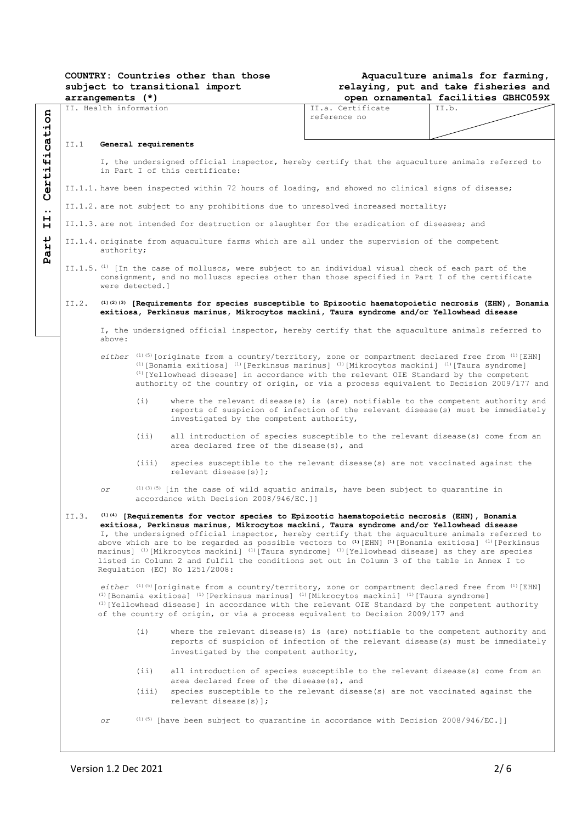| <b>COUNTRY: Countries other than those</b> |  |  |  |  |  |
|--------------------------------------------|--|--|--|--|--|
| subject to transitional import             |  |  |  |  |  |
| arrangements (*)                           |  |  |  |  |  |

### **Aquaculture animals for farming, relaying, put and take fisheries and open ornamental facilities GBHC059X**

|                                                                                                                                       |                                                                                                      | II. Health information                                                                                                                  |       |                                                                                                                                                                                                  | II.a. Certificate | II.b. |  |  |  |
|---------------------------------------------------------------------------------------------------------------------------------------|------------------------------------------------------------------------------------------------------|-----------------------------------------------------------------------------------------------------------------------------------------|-------|--------------------------------------------------------------------------------------------------------------------------------------------------------------------------------------------------|-------------------|-------|--|--|--|
|                                                                                                                                       |                                                                                                      |                                                                                                                                         |       |                                                                                                                                                                                                  | reference no      |       |  |  |  |
| fication                                                                                                                              |                                                                                                      |                                                                                                                                         |       |                                                                                                                                                                                                  |                   |       |  |  |  |
|                                                                                                                                       | II.1                                                                                                 | General requirements                                                                                                                    |       |                                                                                                                                                                                                  |                   |       |  |  |  |
|                                                                                                                                       |                                                                                                      |                                                                                                                                         |       |                                                                                                                                                                                                  |                   |       |  |  |  |
|                                                                                                                                       |                                                                                                      | I, the undersigned official inspector, hereby certify that the aquaculture animals referred to                                          |       |                                                                                                                                                                                                  |                   |       |  |  |  |
| erti:<br>in Part I of this certificate:                                                                                               |                                                                                                      |                                                                                                                                         |       |                                                                                                                                                                                                  |                   |       |  |  |  |
|                                                                                                                                       |                                                                                                      |                                                                                                                                         |       |                                                                                                                                                                                                  |                   |       |  |  |  |
|                                                                                                                                       |                                                                                                      |                                                                                                                                         |       | II.1.1. have been inspected within 72 hours of loading, and showed no clinical signs of disease;                                                                                                 |                   |       |  |  |  |
| Ŭ                                                                                                                                     |                                                                                                      |                                                                                                                                         |       |                                                                                                                                                                                                  |                   |       |  |  |  |
| $\bullet\bullet$                                                                                                                      |                                                                                                      |                                                                                                                                         |       | II.1.2. are not subject to any prohibitions due to unresolved increased mortality;                                                                                                               |                   |       |  |  |  |
| н                                                                                                                                     |                                                                                                      | II.1.3. are not intended for destruction or slaughter for the eradication of diseases; and                                              |       |                                                                                                                                                                                                  |                   |       |  |  |  |
| н                                                                                                                                     |                                                                                                      |                                                                                                                                         |       |                                                                                                                                                                                                  |                   |       |  |  |  |
| ↓                                                                                                                                     |                                                                                                      |                                                                                                                                         |       | II.1.4. originate from aquaculture farms which are all under the supervision of the competent                                                                                                    |                   |       |  |  |  |
| H                                                                                                                                     |                                                                                                      | authority;                                                                                                                              |       |                                                                                                                                                                                                  |                   |       |  |  |  |
| А.                                                                                                                                    |                                                                                                      |                                                                                                                                         |       |                                                                                                                                                                                                  |                   |       |  |  |  |
|                                                                                                                                       |                                                                                                      |                                                                                                                                         |       | II.1.5. <sup>(1)</sup> [In the case of molluscs, were subject to an individual visual check of each part of the                                                                                  |                   |       |  |  |  |
|                                                                                                                                       |                                                                                                      |                                                                                                                                         |       | consignment, and no molluscs species other than those specified in Part I of the certificate                                                                                                     |                   |       |  |  |  |
|                                                                                                                                       |                                                                                                      | were detected.]                                                                                                                         |       |                                                                                                                                                                                                  |                   |       |  |  |  |
|                                                                                                                                       |                                                                                                      |                                                                                                                                         |       | II.2. (1)(2)(3) [Requirements for species susceptible to Epizootic haematopoietic necrosis (EHN), Bonamia                                                                                        |                   |       |  |  |  |
|                                                                                                                                       |                                                                                                      |                                                                                                                                         |       | exitiosa, Perkinsus marinus, Mikrocytos mackini, Taura syndrome and/or Yellowhead disease                                                                                                        |                   |       |  |  |  |
|                                                                                                                                       |                                                                                                      |                                                                                                                                         |       |                                                                                                                                                                                                  |                   |       |  |  |  |
|                                                                                                                                       |                                                                                                      |                                                                                                                                         |       | I, the undersigned official inspector, hereby certify that the aquaculture animals referred to                                                                                                   |                   |       |  |  |  |
|                                                                                                                                       |                                                                                                      | above:                                                                                                                                  |       |                                                                                                                                                                                                  |                   |       |  |  |  |
|                                                                                                                                       |                                                                                                      |                                                                                                                                         |       |                                                                                                                                                                                                  |                   |       |  |  |  |
|                                                                                                                                       |                                                                                                      |                                                                                                                                         |       | either $(1)$ (5) [originate from a country/territory, zone or compartment declared free from $(1)$ [EHN]                                                                                         |                   |       |  |  |  |
|                                                                                                                                       |                                                                                                      |                                                                                                                                         |       | $(1)$ [Bonamia exitiosa] $(1)$ [Perkinsus marinus] $(1)$ [Mikrocytos mackini] $(1)$ [Taura syndrome]<br>$(1)$ [Yellowhead disease] in accordance with the relevant OIE Standard by the competent |                   |       |  |  |  |
|                                                                                                                                       |                                                                                                      |                                                                                                                                         |       | authority of the country of origin, or via a process equivalent to Decision 2009/177 and                                                                                                         |                   |       |  |  |  |
|                                                                                                                                       |                                                                                                      |                                                                                                                                         |       |                                                                                                                                                                                                  |                   |       |  |  |  |
|                                                                                                                                       |                                                                                                      |                                                                                                                                         | (i)   | where the relevant disease(s) is (are) notifiable to the competent authority and                                                                                                                 |                   |       |  |  |  |
|                                                                                                                                       |                                                                                                      |                                                                                                                                         |       | reports of suspicion of infection of the relevant disease(s) must be immediately                                                                                                                 |                   |       |  |  |  |
|                                                                                                                                       |                                                                                                      |                                                                                                                                         |       | investigated by the competent authority,                                                                                                                                                         |                   |       |  |  |  |
|                                                                                                                                       |                                                                                                      |                                                                                                                                         |       |                                                                                                                                                                                                  |                   |       |  |  |  |
| (iii)<br>all introduction of species susceptible to the relevant disease(s) come from an<br>area declared free of the disease(s), and |                                                                                                      |                                                                                                                                         |       |                                                                                                                                                                                                  |                   |       |  |  |  |
|                                                                                                                                       |                                                                                                      |                                                                                                                                         |       |                                                                                                                                                                                                  |                   |       |  |  |  |
|                                                                                                                                       | (iii)<br>species susceptible to the relevant disease(s) are not vaccinated against the               |                                                                                                                                         |       |                                                                                                                                                                                                  |                   |       |  |  |  |
|                                                                                                                                       |                                                                                                      | relevant disease(s)];                                                                                                                   |       |                                                                                                                                                                                                  |                   |       |  |  |  |
|                                                                                                                                       |                                                                                                      |                                                                                                                                         |       |                                                                                                                                                                                                  |                   |       |  |  |  |
|                                                                                                                                       |                                                                                                      | $(1)$ (3) (5) [in the case of wild aquatic animals, have been subject to quarantine in<br>оr<br>accordance with Decision 2008/946/EC.]] |       |                                                                                                                                                                                                  |                   |       |  |  |  |
|                                                                                                                                       |                                                                                                      |                                                                                                                                         |       |                                                                                                                                                                                                  |                   |       |  |  |  |
|                                                                                                                                       | II.3.<br>(1)(4) [Requirements for vector species to Epizootic haematopoietic necrosis (EHN), Bonamia |                                                                                                                                         |       |                                                                                                                                                                                                  |                   |       |  |  |  |
|                                                                                                                                       |                                                                                                      |                                                                                                                                         |       | exitiosa, Perkinsus marinus, Mikrocytos mackini, Taura syndrome and/or Yellowhead disease                                                                                                        |                   |       |  |  |  |
|                                                                                                                                       |                                                                                                      |                                                                                                                                         |       | I, the undersigned official inspector, hereby certify that the aquaculture animals referred to                                                                                                   |                   |       |  |  |  |
|                                                                                                                                       |                                                                                                      |                                                                                                                                         |       | above which are to be regarded as possible vectors to $(1)$ [EHN] $(1)$ [Bonamia exitiosa] $(1)$ [Perkinsus                                                                                      |                   |       |  |  |  |
|                                                                                                                                       |                                                                                                      |                                                                                                                                         |       | marinus] $^{(1)}$ [Mikrocytos mackini] $^{(1)}$ [Taura syndrome] $^{(1)}$ [Yellowhead disease] as they are species                                                                               |                   |       |  |  |  |
|                                                                                                                                       |                                                                                                      |                                                                                                                                         |       | listed in Column 2 and fulfil the conditions set out in Column 3 of the table in Annex I to                                                                                                      |                   |       |  |  |  |
|                                                                                                                                       |                                                                                                      |                                                                                                                                         |       | Regulation (EC) No 1251/2008:                                                                                                                                                                    |                   |       |  |  |  |
|                                                                                                                                       |                                                                                                      |                                                                                                                                         |       | either $(1)(5)$ [originate from a country/territory, zone or compartment declared free from $(1)(EHN)$                                                                                           |                   |       |  |  |  |
|                                                                                                                                       |                                                                                                      |                                                                                                                                         |       | (1) [Bonamia exitiosa] $(1)$ [Perkinsus marinus] $(1)$ [Mikrocytos mackini] $(1)$ [Taura syndrome]                                                                                               |                   |       |  |  |  |
|                                                                                                                                       |                                                                                                      |                                                                                                                                         |       | $(1)$ [Yellowhead disease] in accordance with the relevant OIE Standard by the competent authority                                                                                               |                   |       |  |  |  |
|                                                                                                                                       |                                                                                                      |                                                                                                                                         |       | of the country of origin, or via a process equivalent to Decision 2009/177 and                                                                                                                   |                   |       |  |  |  |
|                                                                                                                                       |                                                                                                      |                                                                                                                                         |       |                                                                                                                                                                                                  |                   |       |  |  |  |
|                                                                                                                                       |                                                                                                      |                                                                                                                                         | (i)   | where the relevant disease(s) is (are) notifiable to the competent authority and                                                                                                                 |                   |       |  |  |  |
|                                                                                                                                       |                                                                                                      |                                                                                                                                         |       | reports of suspicion of infection of the relevant disease(s) must be immediately                                                                                                                 |                   |       |  |  |  |
|                                                                                                                                       |                                                                                                      |                                                                                                                                         |       | investigated by the competent authority,                                                                                                                                                         |                   |       |  |  |  |
|                                                                                                                                       |                                                                                                      |                                                                                                                                         |       |                                                                                                                                                                                                  |                   |       |  |  |  |
|                                                                                                                                       |                                                                                                      |                                                                                                                                         | (iii) | all introduction of species susceptible to the relevant disease(s) come from an                                                                                                                  |                   |       |  |  |  |
|                                                                                                                                       |                                                                                                      |                                                                                                                                         |       | area declared free of the disease(s), and                                                                                                                                                        |                   |       |  |  |  |
|                                                                                                                                       |                                                                                                      |                                                                                                                                         | (iii) | species susceptible to the relevant disease (s) are not vaccinated against the                                                                                                                   |                   |       |  |  |  |
|                                                                                                                                       |                                                                                                      |                                                                                                                                         |       | relevant disease $(s)$ ];                                                                                                                                                                        |                   |       |  |  |  |
|                                                                                                                                       |                                                                                                      |                                                                                                                                         |       |                                                                                                                                                                                                  |                   |       |  |  |  |
|                                                                                                                                       |                                                                                                      | оr                                                                                                                                      |       | $^{(1)(5)}$ [have been subject to quarantine in accordance with Decision 2008/946/EC.]]                                                                                                          |                   |       |  |  |  |
|                                                                                                                                       |                                                                                                      |                                                                                                                                         |       |                                                                                                                                                                                                  |                   |       |  |  |  |
|                                                                                                                                       |                                                                                                      |                                                                                                                                         |       |                                                                                                                                                                                                  |                   |       |  |  |  |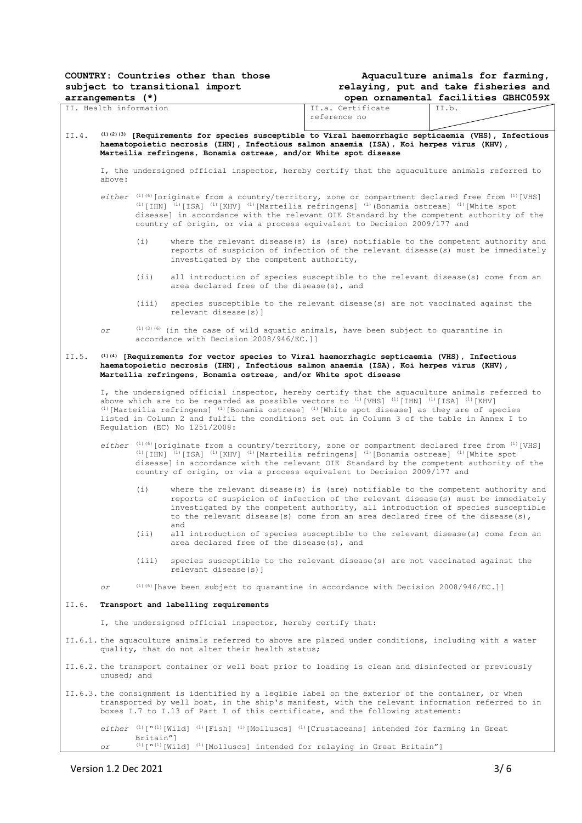| COUNTRY: Countries other than those |  |  |  |  |  |
|-------------------------------------|--|--|--|--|--|
| subject to transitional import      |  |  |  |  |  |
| arrangements (*)                    |  |  |  |  |  |

### **Aquaculture animals for farming, relaying, put and take fisheries and open ornamental facilities GBHC059X**

|                                                                                                                                                          | arrangements (^)                                            |           |                                                                                                                                                                                                                                                                                                                                                                                                                                                   |                                                                                                                                                                                                                                                                                                                                                                                                                                                   | open ornamentai racilities GBHC059X |  |
|----------------------------------------------------------------------------------------------------------------------------------------------------------|-------------------------------------------------------------|-----------|---------------------------------------------------------------------------------------------------------------------------------------------------------------------------------------------------------------------------------------------------------------------------------------------------------------------------------------------------------------------------------------------------------------------------------------------------|---------------------------------------------------------------------------------------------------------------------------------------------------------------------------------------------------------------------------------------------------------------------------------------------------------------------------------------------------------------------------------------------------------------------------------------------------|-------------------------------------|--|
| II. Health information                                                                                                                                   |                                                             |           |                                                                                                                                                                                                                                                                                                                                                                                                                                                   | II.a. Certificate<br>reference no                                                                                                                                                                                                                                                                                                                                                                                                                 | II.b.                               |  |
| (1)(2)(3) [Requirements for species susceptible to Viral haemorrhagic septicaemia (VHS), Infectious<br>II.4.                                             |                                                             |           |                                                                                                                                                                                                                                                                                                                                                                                                                                                   |                                                                                                                                                                                                                                                                                                                                                                                                                                                   |                                     |  |
|                                                                                                                                                          |                                                             |           | Marteilia refringens, Bonamia ostreae, and/or White spot disease                                                                                                                                                                                                                                                                                                                                                                                  | haematopoietic necrosis (IHN), Infectious salmon anaemia (ISA), Koi herpes virus (KHV),                                                                                                                                                                                                                                                                                                                                                           |                                     |  |
|                                                                                                                                                          | above:                                                      |           |                                                                                                                                                                                                                                                                                                                                                                                                                                                   | I, the undersigned official inspector, hereby certify that the aquaculture animals referred to                                                                                                                                                                                                                                                                                                                                                    |                                     |  |
|                                                                                                                                                          |                                                             |           | either $(1)(6)$ [originate from a country/territory, zone or compartment declared free from $(1)$ [VHS]<br>(1) [IHN] (1) [ISA] (1) [KHV] (1) [Marteilia refringens] (1) (Bonamia ostreae] (1) [White spot<br>disease] in accordance with the relevant OIE Standard by the competent authority of the<br>country of origin, or via a process equivalent to Decision 2009/177 and                                                                   |                                                                                                                                                                                                                                                                                                                                                                                                                                                   |                                     |  |
|                                                                                                                                                          |                                                             | (i)       | investigated by the competent authority,                                                                                                                                                                                                                                                                                                                                                                                                          | where the relevant disease(s) is (are) notifiable to the competent authority and<br>reports of suspicion of infection of the relevant disease(s) must be immediately                                                                                                                                                                                                                                                                              |                                     |  |
|                                                                                                                                                          |                                                             | (i)       | all introduction of species susceptible to the relevant disease(s) come from an<br>area declared free of the disease(s), and                                                                                                                                                                                                                                                                                                                      |                                                                                                                                                                                                                                                                                                                                                                                                                                                   |                                     |  |
|                                                                                                                                                          |                                                             | (iii)     | species susceptible to the relevant disease (s) are not vaccinated against the<br>relevant disease(s)]                                                                                                                                                                                                                                                                                                                                            |                                                                                                                                                                                                                                                                                                                                                                                                                                                   |                                     |  |
|                                                                                                                                                          | оr                                                          |           | $(1)(3)(6)$ (in the case of wild aquatic animals, have been subject to quarantine in<br>accordance with Decision 2008/946/EC.]]                                                                                                                                                                                                                                                                                                                   |                                                                                                                                                                                                                                                                                                                                                                                                                                                   |                                     |  |
| II.5.                                                                                                                                                    |                                                             |           | (1)(4) [Requirements for vector species to Viral haemorrhagic septicaemia (VHS), Infectious<br>haematopoietic necrosis (IHN), Infectious salmon anaemia (ISA), Koi herpes virus (KHV),<br>Marteilia refringens, Bonamia ostreae, and/or White spot disease                                                                                                                                                                                        |                                                                                                                                                                                                                                                                                                                                                                                                                                                   |                                     |  |
|                                                                                                                                                          |                                                             |           | I, the undersigned official inspector, hereby certify that the aquaculture animals referred to<br>above which are to be regarded as possible vectors to $(1)$ [VHS] $(1)$ [IHN] $(1)$ [ISA] $(1)$ [KHV]<br>$(1)$ [Marteilia refringens] $(1)$ [Bonamia ostreae] $(1)$ [White spot disease] as they are of species<br>listed in Column 2 and fulfil the conditions set out in Column 3 of the table in Annex I to<br>Regulation (EC) No 1251/2008: |                                                                                                                                                                                                                                                                                                                                                                                                                                                   |                                     |  |
|                                                                                                                                                          |                                                             |           |                                                                                                                                                                                                                                                                                                                                                                                                                                                   | either $(1)(6)$ [originate from a country/territory, zone or compartment declared free from $(1)$ [VHS]<br><sup>(1)</sup> [IHN] <sup>(1)</sup> [ISA] <sup>(1)</sup> [KHV] <sup>(1)</sup> [Marteilia refringens] <sup>(1)</sup> [Bonamia ostreae] <sup>(1)</sup> [White spot<br>disease] in accordance with the relevant OIE Standard by the competent authority of the<br>country of origin, or via a process equivalent to Decision 2009/177 and |                                     |  |
|                                                                                                                                                          |                                                             | (i)       | where the relevant disease(s) is (are) notifiable to the competent authority and<br>reports of suspicion of infection of the relevant disease(s) must be immediately<br>investigated by the competent authority, all introduction of species susceptible<br>to the relevant disease(s) come from an area declared free of the disease(s),<br>and                                                                                                  |                                                                                                                                                                                                                                                                                                                                                                                                                                                   |                                     |  |
|                                                                                                                                                          |                                                             | (iii)     | area declared free of the disease(s), and                                                                                                                                                                                                                                                                                                                                                                                                         | all introduction of species susceptible to the relevant disease(s) come from an                                                                                                                                                                                                                                                                                                                                                                   |                                     |  |
|                                                                                                                                                          |                                                             | (iii)     | relevant disease(s)]                                                                                                                                                                                                                                                                                                                                                                                                                              | species susceptible to the relevant disease (s) are not vaccinated against the                                                                                                                                                                                                                                                                                                                                                                    |                                     |  |
|                                                                                                                                                          | οr                                                          |           | $^{(1)(6)}$ [have been subject to quarantine in accordance with Decision 2008/946/EC.]]                                                                                                                                                                                                                                                                                                                                                           |                                                                                                                                                                                                                                                                                                                                                                                                                                                   |                                     |  |
| II.6.                                                                                                                                                    | Transport and labelling requirements                        |           |                                                                                                                                                                                                                                                                                                                                                                                                                                                   |                                                                                                                                                                                                                                                                                                                                                                                                                                                   |                                     |  |
|                                                                                                                                                          | I, the undersigned official inspector, hereby certify that: |           |                                                                                                                                                                                                                                                                                                                                                                                                                                                   |                                                                                                                                                                                                                                                                                                                                                                                                                                                   |                                     |  |
| II.6.1. the aquaculture animals referred to above are placed under conditions, including with a water<br>quality, that do not alter their health status; |                                                             |           |                                                                                                                                                                                                                                                                                                                                                                                                                                                   |                                                                                                                                                                                                                                                                                                                                                                                                                                                   |                                     |  |
|                                                                                                                                                          | unused; and                                                 |           | II.6.2. the transport container or well boat prior to loading is clean and disinfected or previously                                                                                                                                                                                                                                                                                                                                              |                                                                                                                                                                                                                                                                                                                                                                                                                                                   |                                     |  |
|                                                                                                                                                          |                                                             |           |                                                                                                                                                                                                                                                                                                                                                                                                                                                   | II.6.3. the consignment is identified by a legible label on the exterior of the container, or when<br>transported by well boat, in the ship's manifest, with the relevant information referred to in<br>boxes I.7 to I.13 of Part I of this certificate, and the following statement:                                                                                                                                                             |                                     |  |
|                                                                                                                                                          |                                                             | Britain"] | either <sup>(1)</sup> [ <sup>w(1)</sup> [Wild] <sup>(1)</sup> [Fish] <sup>(1)</sup> [Molluscs] <sup>(1)</sup> [Crustaceans] intended for farming in Great                                                                                                                                                                                                                                                                                         |                                                                                                                                                                                                                                                                                                                                                                                                                                                   |                                     |  |
|                                                                                                                                                          | оr                                                          |           | $(1)$ ["(1) [Wild] $(1)$ [Molluscs] intended for relaying in Great Britain"]                                                                                                                                                                                                                                                                                                                                                                      |                                                                                                                                                                                                                                                                                                                                                                                                                                                   |                                     |  |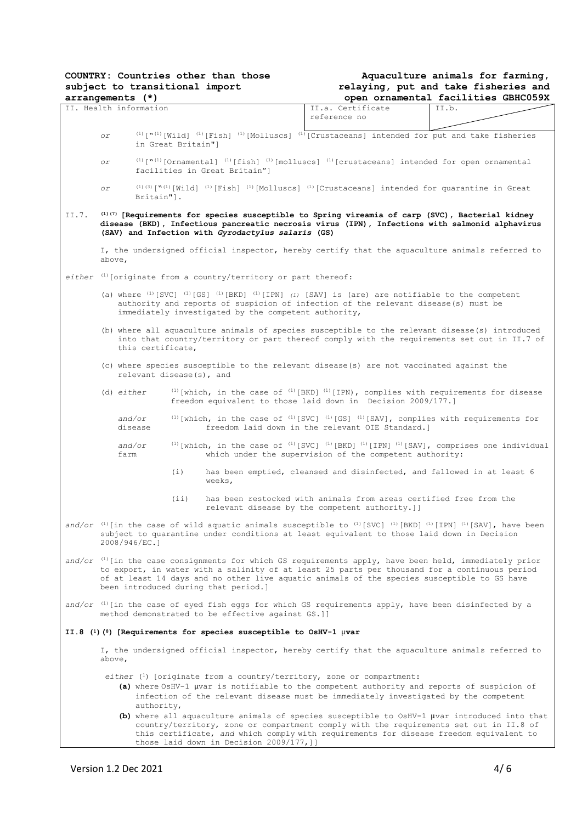|       |                                                                                                                                                                                                                                                         | COUNTRY: Countries other than those                                          |  |                                                                                                                                                                                                                    | Aquaculture animals for farming,                                                                                                                                                                                                                                                                                   |
|-------|---------------------------------------------------------------------------------------------------------------------------------------------------------------------------------------------------------------------------------------------------------|------------------------------------------------------------------------------|--|--------------------------------------------------------------------------------------------------------------------------------------------------------------------------------------------------------------------|--------------------------------------------------------------------------------------------------------------------------------------------------------------------------------------------------------------------------------------------------------------------------------------------------------------------|
|       |                                                                                                                                                                                                                                                         | subject to transitional import                                               |  |                                                                                                                                                                                                                    | relaying, put and take fisheries and                                                                                                                                                                                                                                                                               |
|       | arrangements (*)                                                                                                                                                                                                                                        |                                                                              |  |                                                                                                                                                                                                                    | open ornamental facilities GBHC059X                                                                                                                                                                                                                                                                                |
|       | II. Health information                                                                                                                                                                                                                                  |                                                                              |  | II.a. Certificate<br>reference no                                                                                                                                                                                  | II.b.                                                                                                                                                                                                                                                                                                              |
|       | оr                                                                                                                                                                                                                                                      | in Great Britain"]                                                           |  |                                                                                                                                                                                                                    | $^{(1)}$ [" $^{(1)}$ [Wild] $^{(1)}$ [Fish] $^{(1)}$ [Molluscs] $^{(1)}$ [Crustaceans] intended for put and take fisheries                                                                                                                                                                                         |
|       | Оr                                                                                                                                                                                                                                                      | facilities in Great Britain"]                                                |  |                                                                                                                                                                                                                    | (1) ["(1) [Ornamental] (1) [fish] (1) [molluscs] (1) [crustaceans] intended for open ornamental                                                                                                                                                                                                                    |
|       | Оr<br>Britain"].                                                                                                                                                                                                                                        |                                                                              |  |                                                                                                                                                                                                                    | $(1)$ (3) $\lceil N^{(1)} \rceil$ [Wild] $(1)$ [Fish] $(1)$ [Molluscs] $(1)$ [Crustaceans] intended for quarantine in Great                                                                                                                                                                                        |
| II.7. | (1)(7) [Requirements for species susceptible to Spring vireamia of carp (SVC), Bacterial kidney<br>disease (BKD), Infectious pancreatic necrosis virus (IPN), Infections with salmonid alphavirus<br>(SAV) and Infection with Gyrodactylus salaris (GS) |                                                                              |  |                                                                                                                                                                                                                    |                                                                                                                                                                                                                                                                                                                    |
|       | above,                                                                                                                                                                                                                                                  |                                                                              |  |                                                                                                                                                                                                                    | I, the undersigned official inspector, hereby certify that the aquaculture animals referred to                                                                                                                                                                                                                     |
|       |                                                                                                                                                                                                                                                         | either $\left(1\right)$ [originate from a country/territory or part thereof: |  |                                                                                                                                                                                                                    |                                                                                                                                                                                                                                                                                                                    |
|       |                                                                                                                                                                                                                                                         | immediately investigated by the competent authority,                         |  | (a) where $^{(1)}$ [SVC] $^{(1)}$ [GS] $^{(1)}$ [BKD] $^{(1)}$ [IPN] $^{(1)}$ [SAV] is (are) are notifiable to the competent<br>authority and reports of suspicion of infection of the relevant disease(s) must be |                                                                                                                                                                                                                                                                                                                    |
|       | this certificate,                                                                                                                                                                                                                                       |                                                                              |  |                                                                                                                                                                                                                    | (b) where all aquaculture animals of species susceptible to the relevant disease(s) introduced<br>into that country/territory or part thereof comply with the requirements set out in II.7 of                                                                                                                      |
|       |                                                                                                                                                                                                                                                         | relevant disease(s), and                                                     |  | (c) where species susceptible to the relevant disease(s) are not vaccinated against the                                                                                                                            |                                                                                                                                                                                                                                                                                                                    |
|       | $(d)$ either                                                                                                                                                                                                                                            |                                                                              |  | freedom equivalent to those laid down in Decision 2009/177.]                                                                                                                                                       | $^{(1)}$ [which, in the case of $^{(1)}$ [BKD] $^{(1)}$ [IPN), complies with requirements for disease                                                                                                                                                                                                              |
|       | and/or<br>disease                                                                                                                                                                                                                                       |                                                                              |  | freedom laid down in the relevant OIE Standard.]                                                                                                                                                                   | (1) [which, in the case of $(1)$ [SVC] $(1)$ [GS] $(1)$ [SAV], complies with requirements for                                                                                                                                                                                                                      |
|       | and/or<br>farm                                                                                                                                                                                                                                          |                                                                              |  | which under the supervision of the competent authority:                                                                                                                                                            | <sup>(1)</sup> [which, in the case of <sup>(1)</sup> [SVC] <sup>(1)</sup> [BKD] <sup>(1)</sup> [IPN] <sup>(1)</sup> [SAV], comprises one individual                                                                                                                                                                |
|       |                                                                                                                                                                                                                                                         | (i)<br>weeks,                                                                |  |                                                                                                                                                                                                                    | has been emptied, cleansed and disinfected, and fallowed in at least 6                                                                                                                                                                                                                                             |
|       |                                                                                                                                                                                                                                                         | (iii)                                                                        |  | has been restocked with animals from areas certified free from the<br>relevant disease by the competent authority.]]                                                                                               |                                                                                                                                                                                                                                                                                                                    |
|       | 2008/946/EC.]                                                                                                                                                                                                                                           |                                                                              |  | subject to quarantine under conditions at least equivalent to those laid down in Decision                                                                                                                          | and/or $(1)$ [in the case of wild aquatic animals susceptible to $(1)$ [SVC] $(1)$ [BKD] $(1)$ [IPN] $(1)$ [SAV], have been                                                                                                                                                                                        |
|       |                                                                                                                                                                                                                                                         | been introduced during that period.]                                         |  |                                                                                                                                                                                                                    | and/or <sup>(1)</sup> [in the case consignments for which GS requirements apply, have been held, immediately prior<br>to export, in water with a salinity of at least 25 parts per thousand for a continuous period<br>of at least 14 days and no other live aquatic animals of the species susceptible to GS have |
|       |                                                                                                                                                                                                                                                         | method demonstrated to be effective against GS.]]                            |  |                                                                                                                                                                                                                    | and/or $(1)$ [in the case of eyed fish eggs for which GS requirements apply, have been disinfected by a                                                                                                                                                                                                            |
|       |                                                                                                                                                                                                                                                         | II.8 (1) (8) [Requirements for species susceptible to OsHV-1 $\mu$ var       |  |                                                                                                                                                                                                                    |                                                                                                                                                                                                                                                                                                                    |
|       | above,                                                                                                                                                                                                                                                  |                                                                              |  |                                                                                                                                                                                                                    | I, the undersigned official inspector, hereby certify that the aquaculture animals referred to                                                                                                                                                                                                                     |
|       | authority,                                                                                                                                                                                                                                              |                                                                              |  | $either$ $\binom{1}{1}$ [originate from a country/territory, zone or compartment:<br>infection of the relevant disease must be immediately investigated by the competent                                           | (a) where OsHV-1 µvar is notifiable to the competent authority and reports of suspicion of                                                                                                                                                                                                                         |
|       |                                                                                                                                                                                                                                                         | those laid down in Decision 2009/177, ]]                                     |  |                                                                                                                                                                                                                    | (b) where all aquaculture animals of species susceptible to OsHV-1 µvar introduced into that<br>country/territory, zone or compartment comply with the requirements set out in II.8 of<br>this certificate, and which comply with requirements for disease freedom equivalent to                                   |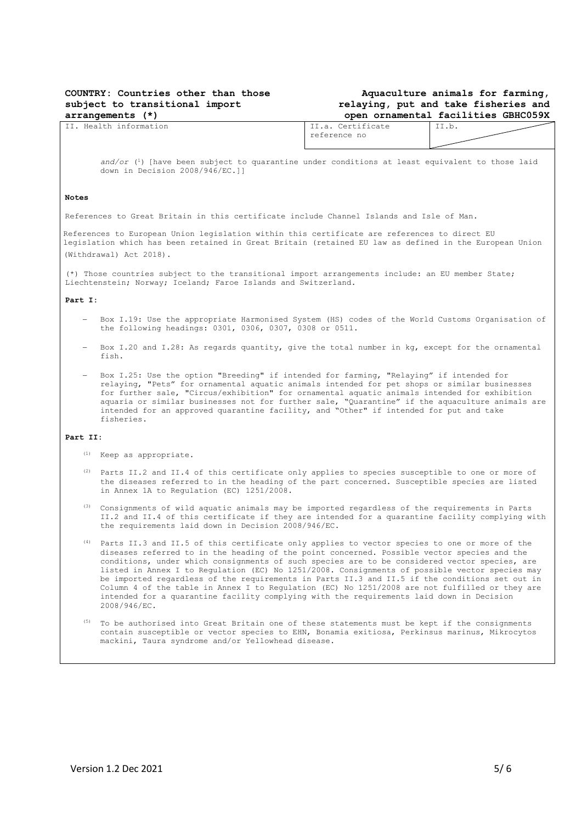### **COUNTRY: Countries other than those subject to transitional import arrangements (\*)**

## **Aquaculture animals for farming, relaying, put and take fisheries and open ornamental facilities GBHC059X**

| TT.<br>Health<br>information | Certificate<br>$- -$<br>$\overline{\phantom{0}}$<br><b>++. +</b><br>. | --<br>$+ + \cdot \cdot \cdot$ |
|------------------------------|-----------------------------------------------------------------------|-------------------------------|
|                              | reference no                                                          |                               |
|                              |                                                                       |                               |

and/or (<sup>1</sup>) [have been subject to quarantine under conditions at least equivalent to those laid down in Decision 2008/946/EC.]]

### **Notes**

References to Great Britain in this certificate include Channel Islands and Isle of Man.

References to European Union legislation within this certificate are references to direct EU legislation which has been retained in Great Britain (retained EU law as defined in the European Union (Withdrawal) Act 2018).

(\*) Those countries subject to the transitional import arrangements include: an EU member State; Liechtenstein; Norway; Iceland; Faroe Islands and Switzerland.

#### **Part I:**

- − Box I.19: Use the appropriate Harmonised System (HS) codes of the World Customs Organisation of the following headings: 0301, 0306, 0307, 0308 or 0511.
- − Box I.20 and I.28: As regards quantity, give the total number in kg, except for the ornamental fish.
- − Box I.25: Use the option "Breeding" if intended for farming, "Relaying" if intended for relaying, "Pets" for ornamental aquatic animals intended for pet shops or similar businesses for further sale, "Circus/exhibition" for ornamental aquatic animals intended for exhibition aquaria or similar businesses not for further sale, "Quarantine" if the aquaculture animals are intended for an approved quarantine facility, and "Other" if intended for put and take fisheries.

#### **Part II:**

- (1) Keep as appropriate.
- (2) Parts II.2 and II.4 of this certificate only applies to species susceptible to one or more of the diseases referred to in the heading of the part concerned. Susceptible species are listed in Annex 1A to Regulation (EC) 1251/2008.
- (3) Consignments of wild aquatic animals may be imported regardless of the requirements in Parts II.2 and II.4 of this certificate if they are intended for a quarantine facility complying with the requirements laid down in Decision 2008/946/EC.
- (4) Parts II.3 and II.5 of this certificate only applies to vector species to one or more of the diseases referred to in the heading of the point concerned. Possible vector species and the conditions, under which consignments of such species are to be considered vector species, are listed in Annex I to Regulation (EC) No 1251/2008. Consignments of possible vector species may be imported regardless of the requirements in Parts II.3 and II.5 if the conditions set out in Column 4 of the table in Annex I to Regulation (EC) No 1251/2008 are not fulfilled or they are intended for a quarantine facility complying with the requirements laid down in Decision 2008/946/EC.
- (5) To be authorised into Great Britain one of these statements must be kept if the consignments contain susceptible or vector species to EHN, Bonamia exitiosa, Perkinsus marinus, Mikrocytos mackini, Taura syndrome and/or Yellowhead disease.